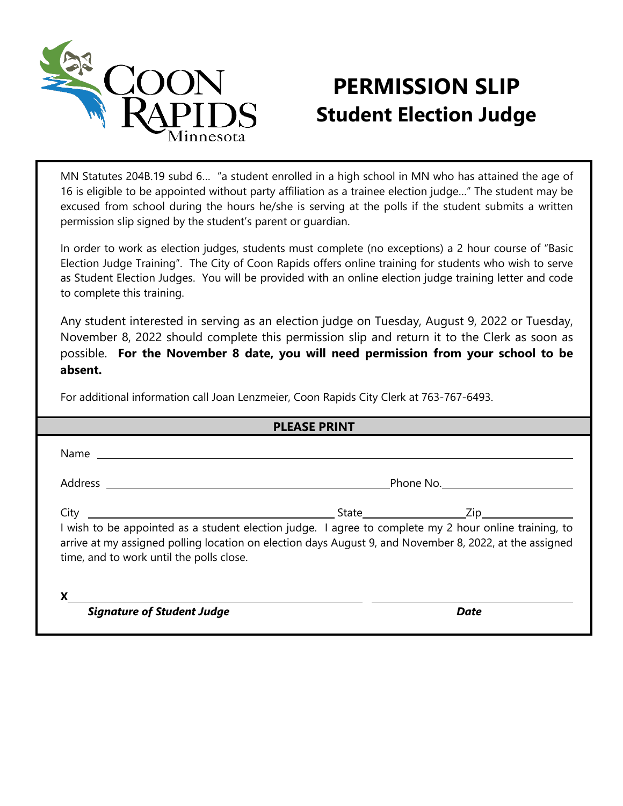

## **PERMISSION SLIP Student Election Judge**

MN Statutes 204B.19 subd 6… "a student enrolled in a high school in MN who has attained the age of 16 is eligible to be appointed without party affiliation as a trainee election judge…" The student may be excused from school during the hours he/she is serving at the polls if the student submits a written permission slip signed by the student's parent or guardian.

In order to work as election judges, students must complete (no exceptions) a 2 hour course of "Basic Election Judge Training". The City of Coon Rapids offers online training for students who wish to serve as Student Election Judges. You will be provided with an online election judge training letter and code to complete this training.

Any student interested in serving as an election judge on Tuesday, August 9, 2022 or Tuesday, November 8, 2022 should complete this permission slip and return it to the Clerk as soon as possible. **For the November 8 date, you will need permission from your school to be absent.**

For additional information call Joan Lenzmeier, Coon Rapids City Clerk at 763-767-6493.

| <b>PLEASE PRINT</b>                              |                                                                                                                                                                                                                  |      |
|--------------------------------------------------|------------------------------------------------------------------------------------------------------------------------------------------------------------------------------------------------------------------|------|
| Name                                             |                                                                                                                                                                                                                  |      |
|                                                  |                                                                                                                                                                                                                  |      |
| City<br>time, and to work until the polls close. | I wish to be appointed as a student election judge. I agree to complete my 2 hour online training, to<br>arrive at my assigned polling location on election days August 9, and November 8, 2022, at the assigned |      |
| <b>Signature of Student Judge</b>                |                                                                                                                                                                                                                  | Date |